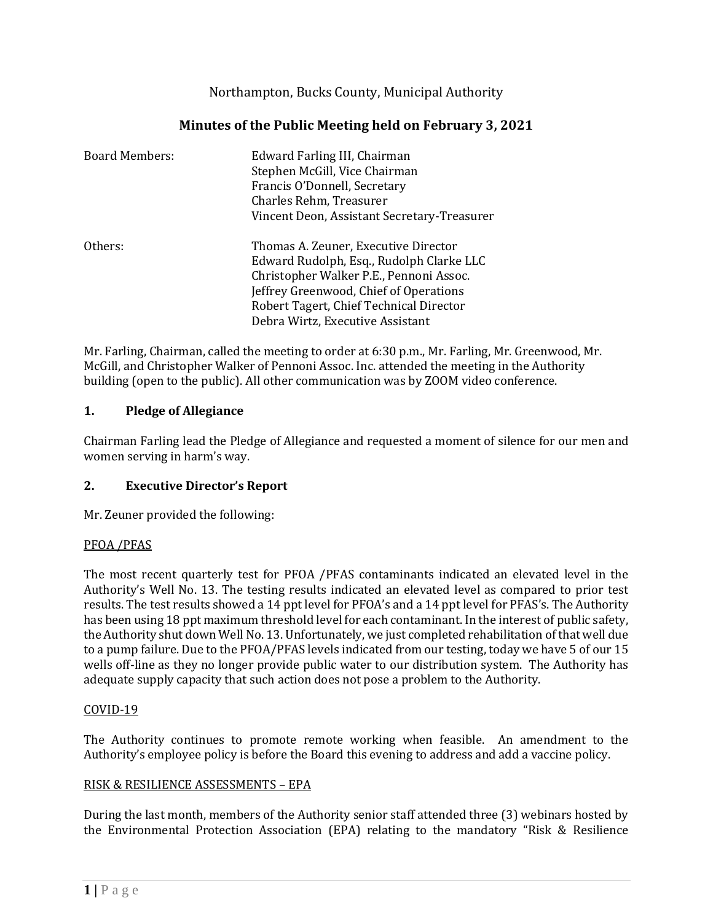Northampton, Bucks County, Municipal Authority

# **Minutes of the Public Meeting held on February 3, 2021**

| <b>Board Members:</b> | Edward Farling III, Chairman<br>Stephen McGill, Vice Chairman<br>Francis O'Donnell, Secretary<br>Charles Rehm, Treasurer<br>Vincent Deon, Assistant Secretary-Treasurer                                                                              |
|-----------------------|------------------------------------------------------------------------------------------------------------------------------------------------------------------------------------------------------------------------------------------------------|
| Others:               | Thomas A. Zeuner, Executive Director<br>Edward Rudolph, Esq., Rudolph Clarke LLC<br>Christopher Walker P.E., Pennoni Assoc.<br>Jeffrey Greenwood, Chief of Operations<br>Robert Tagert, Chief Technical Director<br>Debra Wirtz, Executive Assistant |

Mr. Farling, Chairman, called the meeting to order at 6:30 p.m., Mr. Farling, Mr. Greenwood, Mr. McGill, and Christopher Walker of Pennoni Assoc. Inc. attended the meeting in the Authority building (open to the public). All other communication was by ZOOM video conference.

## **1. Pledge of Allegiance**

Chairman Farling lead the Pledge of Allegiance and requested a moment of silence for our men and women serving in harm's way.

## **2. Executive Director's Report**

Mr. Zeuner provided the following:

#### PFOA /PFAS

The most recent quarterly test for PFOA /PFAS contaminants indicated an elevated level in the Authority's Well No. 13. The testing results indicated an elevated level as compared to prior test results. The test results showed a 14 ppt level for PFOA's and a 14 ppt level for PFAS's. The Authority has been using 18 ppt maximum threshold level for each contaminant. In the interest of public safety, the Authority shut down Well No. 13. Unfortunately, we just completed rehabilitation of that well due to a pump failure. Due to the PFOA/PFAS levels indicated from our testing, today we have 5 of our 15 wells off-line as they no longer provide public water to our distribution system. The Authority has adequate supply capacity that such action does not pose a problem to the Authority.

#### COVID-19

The Authority continues to promote remote working when feasible. An amendment to the Authority's employee policy is before the Board this evening to address and add a vaccine policy.

#### RISK & RESILIENCE ASSESSMENTS – EPA

During the last month, members of the Authority senior staff attended three (3) webinars hosted by the Environmental Protection Association (EPA) relating to the mandatory "Risk & Resilience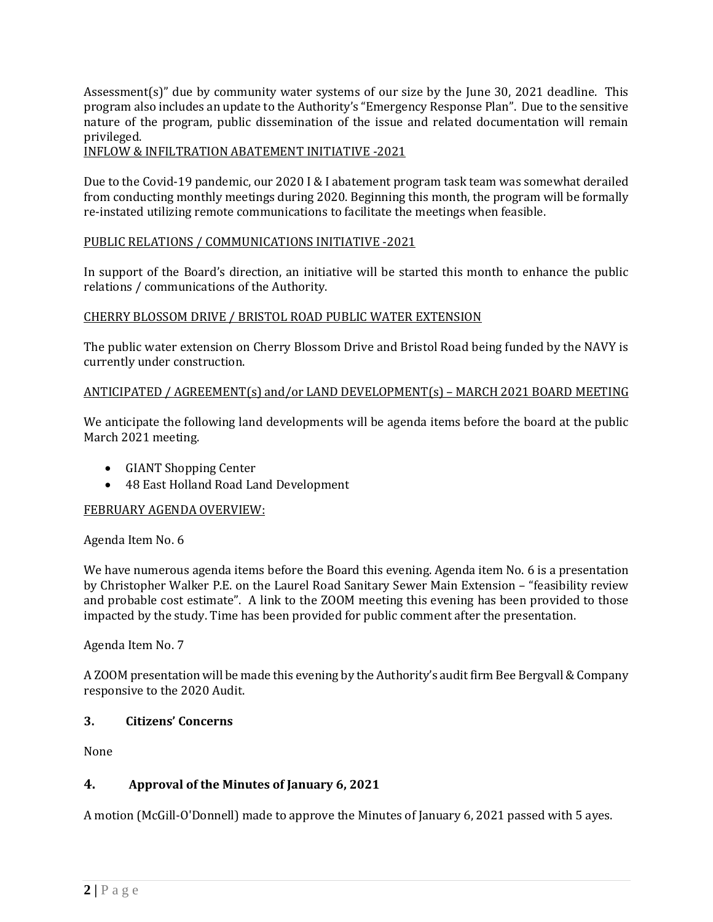Assessment(s)" due by community water systems of our size by the June 30, 2021 deadline. This program also includes an update to the Authority's "Emergency Response Plan". Due to the sensitive nature of the program, public dissemination of the issue and related documentation will remain privileged.

#### INFLOW & INFILTRATION ABATEMENT INITIATIVE -2021

Due to the Covid-19 pandemic, our 2020 I & I abatement program task team was somewhat derailed from conducting monthly meetings during 2020. Beginning this month, the program will be formally re-instated utilizing remote communications to facilitate the meetings when feasible.

#### PUBLIC RELATIONS / COMMUNICATIONS INITIATIVE -2021

In support of the Board's direction, an initiative will be started this month to enhance the public relations / communications of the Authority.

#### CHERRY BLOSSOM DRIVE / BRISTOL ROAD PUBLIC WATER EXTENSION

The public water extension on Cherry Blossom Drive and Bristol Road being funded by the NAVY is currently under construction.

#### ANTICIPATED / AGREEMENT(s) and/or LAND DEVELOPMENT(s) – MARCH 2021 BOARD MEETING

We anticipate the following land developments will be agenda items before the board at the public March 2021 meeting.

- GIANT Shopping Center
- 48 East Holland Road Land Development

#### FEBRUARY AGENDA OVERVIEW:

Agenda Item No. 6

We have numerous agenda items before the Board this evening. Agenda item No. 6 is a presentation by Christopher Walker P.E. on the Laurel Road Sanitary Sewer Main Extension – "feasibility review and probable cost estimate". A link to the ZOOM meeting this evening has been provided to those impacted by the study. Time has been provided for public comment after the presentation.

Agenda Item No. 7

A ZOOM presentation will be made this evening by the Authority's audit firm Bee Bergvall & Company responsive to the 2020 Audit.

#### **3. Citizens' Concerns**

None

## **4. Approval of the Minutes of January 6, 2021**

A motion (McGill-O'Donnell) made to approve the Minutes of January 6, 2021 passed with 5 ayes.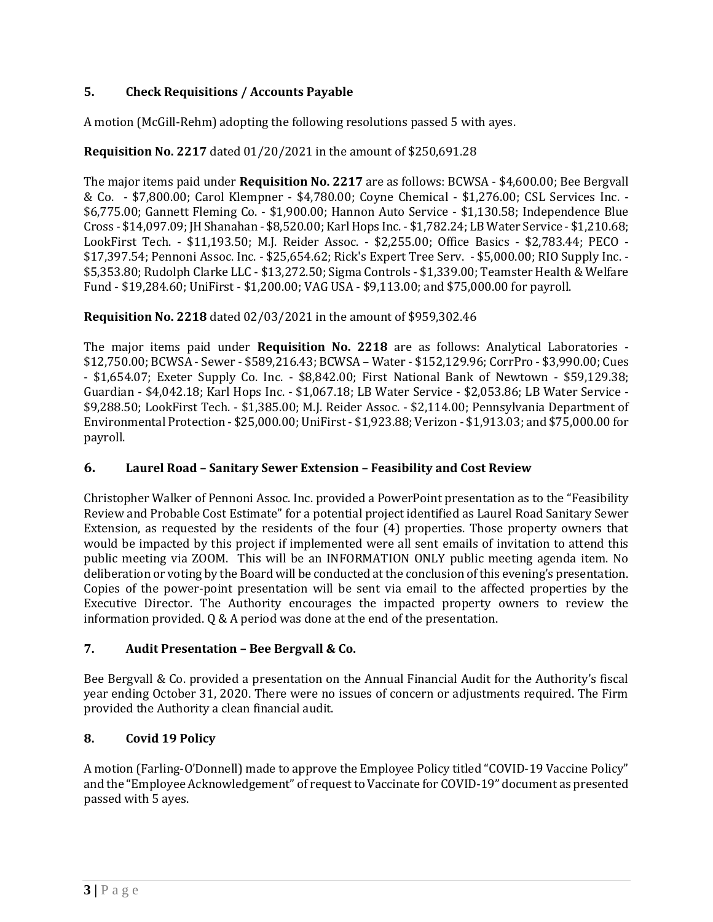# **5. Check Requisitions / Accounts Payable**

A motion (McGill-Rehm) adopting the following resolutions passed 5 with ayes.

# **Requisition No. 2217** dated 01/20/2021 in the amount of \$250,691.28

The major items paid under **Requisition No. 2217** are as follows: BCWSA - \$4,600.00; Bee Bergvall & Co. - \$7,800.00; Carol Klempner - \$4,780.00; Coyne Chemical - \$1,276.00; CSL Services Inc. - \$6,775.00; Gannett Fleming Co. - \$1,900.00; Hannon Auto Service - \$1,130.58; Independence Blue Cross - \$14,097.09; JH Shanahan - \$8,520.00; Karl Hops Inc. - \$1,782.24; LB Water Service - \$1,210.68; LookFirst Tech. - \$11,193.50; M.J. Reider Assoc. - \$2,255.00; Office Basics - \$2,783.44; PECO - \$17,397.54; Pennoni Assoc. Inc. - \$25,654.62; Rick's Expert Tree Serv. - \$5,000.00; RIO Supply Inc. - \$5,353.80; Rudolph Clarke LLC - \$13,272.50; Sigma Controls - \$1,339.00; Teamster Health & Welfare Fund - \$19,284.60; UniFirst - \$1,200.00; VAG USA - \$9,113.00; and \$75,000.00 for payroll.

## **Requisition No. 2218** dated 02/03/2021 in the amount of \$959,302.46

The major items paid under **Requisition No. 2218** are as follows: Analytical Laboratories - \$12,750.00; BCWSA - Sewer - \$589,216.43; BCWSA – Water - \$152,129.96; CorrPro - \$3,990.00; Cues - \$1,654.07; Exeter Supply Co. Inc. - \$8,842.00; First National Bank of Newtown - \$59,129.38; Guardian - \$4,042.18; Karl Hops Inc. - \$1,067.18; LB Water Service - \$2,053.86; LB Water Service - \$9,288.50; LookFirst Tech. - \$1,385.00; M.J. Reider Assoc. - \$2,114.00; Pennsylvania Department of Environmental Protection - \$25,000.00; UniFirst - \$1,923.88; Verizon - \$1,913.03; and \$75,000.00 for payroll.

## **6. Laurel Road – Sanitary Sewer Extension – Feasibility and Cost Review**

Christopher Walker of Pennoni Assoc. Inc. provided a PowerPoint presentation as to the "Feasibility Review and Probable Cost Estimate" for a potential project identified as Laurel Road Sanitary Sewer Extension, as requested by the residents of the four (4) properties. Those property owners that would be impacted by this project if implemented were all sent emails of invitation to attend this public meeting via ZOOM. This will be an INFORMATION ONLY public meeting agenda item. No deliberation or voting by the Board will be conducted at the conclusion of this evening's presentation. Copies of the power-point presentation will be sent via email to the affected properties by the Executive Director. The Authority encourages the impacted property owners to review the information provided. Q & A period was done at the end of the presentation.

## **7. Audit Presentation – Bee Bergvall & Co.**

Bee Bergvall & Co. provided a presentation on the Annual Financial Audit for the Authority's fiscal year ending October 31, 2020. There were no issues of concern or adjustments required. The Firm provided the Authority a clean financial audit.

## **8. Covid 19 Policy**

A motion (Farling-O'Donnell) made to approve the Employee Policy titled "COVID-19 Vaccine Policy" and the "Employee Acknowledgement" of request to Vaccinate for COVID-19" document as presented passed with 5 ayes.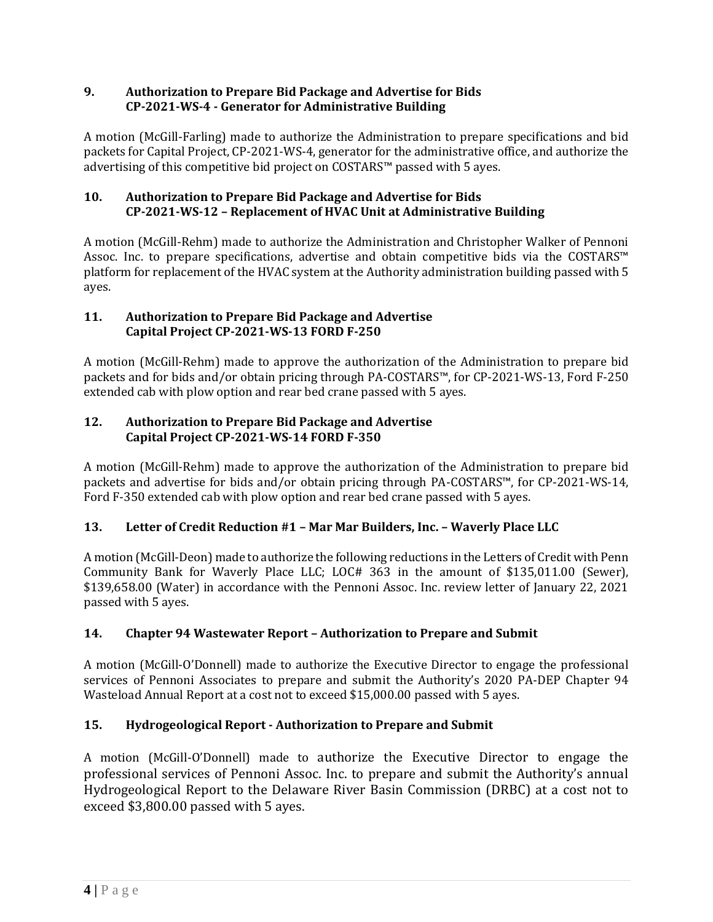## **9. Authorization to Prepare Bid Package and Advertise for Bids CP-2021-WS-4 - Generator for Administrative Building**

A motion (McGill-Farling) made to authorize the Administration to prepare specifications and bid packets for Capital Project, CP-2021-WS-4, generator for the administrative office, and authorize the advertising of this competitive bid project on COSTARS™ passed with 5 ayes.

# **10. Authorization to Prepare Bid Package and Advertise for Bids CP-2021-WS-12 – Replacement of HVAC Unit at Administrative Building**

A motion (McGill-Rehm) made to authorize the Administration and Christopher Walker of Pennoni Assoc. Inc. to prepare specifications, advertise and obtain competitive bids via the COSTARS™ platform for replacement of the HVAC system at the Authority administration building passed with 5 ayes.

# **11. Authorization to Prepare Bid Package and Advertise Capital Project CP-2021-WS-13 FORD F-250**

A motion (McGill-Rehm) made to approve the authorization of the Administration to prepare bid packets and for bids and/or obtain pricing through PA-COSTARS™, for CP-2021-WS-13, Ford F-250 extended cab with plow option and rear bed crane passed with 5 ayes.

# **12. Authorization to Prepare Bid Package and Advertise Capital Project CP-2021-WS-14 FORD F-350**

A motion (McGill-Rehm) made to approve the authorization of the Administration to prepare bid packets and advertise for bids and/or obtain pricing through PA-COSTARS™, for CP-2021-WS-14, Ford F-350 extended cab with plow option and rear bed crane passed with 5 ayes.

# **13. Letter of Credit Reduction #1 – Mar Mar Builders, Inc. – Waverly Place LLC**

A motion (McGill-Deon) made to authorize the following reductions in the Letters of Credit with Penn Community Bank for Waverly Place LLC; LOC# 363 in the amount of \$135,011.00 (Sewer), \$139,658.00 (Water) in accordance with the Pennoni Assoc. Inc. review letter of January 22, 2021 passed with 5 ayes.

# **14. Chapter 94 Wastewater Report – Authorization to Prepare and Submit**

A motion (McGill-O'Donnell) made to authorize the Executive Director to engage the professional services of Pennoni Associates to prepare and submit the Authority's 2020 PA-DEP Chapter 94 Wasteload Annual Report at a cost not to exceed \$15,000.00 passed with 5 ayes.

# **15. Hydrogeological Report - Authorization to Prepare and Submit**

A motion (McGill-O'Donnell) made to authorize the Executive Director to engage the professional services of Pennoni Assoc. Inc. to prepare and submit the Authority's annual Hydrogeological Report to the Delaware River Basin Commission (DRBC) at a cost not to exceed \$3,800.00 passed with 5 ayes.